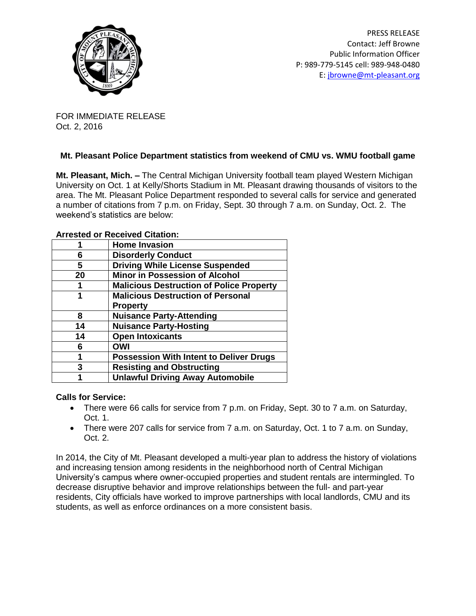

PRESS RELEASE Contact: Jeff Browne Public Information Officer P: 989-779-5145 cell: 989-948-0480 E: [jbrowne@mt-pleasant.org](mailto:jbrowne@mt-pleasant.org)

FOR IMMEDIATE RELEASE Oct. 2, 2016

## **Mt. Pleasant Police Department statistics from weekend of CMU vs. WMU football game**

**Mt. Pleasant, Mich. –** The Central Michigan University football team played Western Michigan University on Oct. 1 at Kelly/Shorts Stadium in Mt. Pleasant drawing thousands of visitors to the area. The Mt. Pleasant Police Department responded to several calls for service and generated a number of citations from 7 p.m. on Friday, Sept. 30 through 7 a.m. on Sunday, Oct. 2. The weekend's statistics are below:

| Affested of Received Citation: |                                                 |
|--------------------------------|-------------------------------------------------|
|                                | <b>Home Invasion</b>                            |
| 6                              | <b>Disorderly Conduct</b>                       |
| 5                              | <b>Driving While License Suspended</b>          |
| 20                             | <b>Minor in Possession of Alcohol</b>           |
|                                | <b>Malicious Destruction of Police Property</b> |
| 1                              | <b>Malicious Destruction of Personal</b>        |
|                                | <b>Property</b>                                 |
| 8                              | <b>Nuisance Party-Attending</b>                 |
| 14                             | <b>Nuisance Party-Hosting</b>                   |
| 14                             | <b>Open Intoxicants</b>                         |
| 6                              | <b>OWI</b>                                      |
| 1                              | <b>Possession With Intent to Deliver Drugs</b>  |
| 3                              | <b>Resisting and Obstructing</b>                |
|                                | <b>Unlawful Driving Away Automobile</b>         |
|                                |                                                 |

## **Arrested or Received Citation:**

## **Calls for Service:**

- There were 66 calls for service from 7 p.m. on Friday, Sept. 30 to 7 a.m. on Saturday, Oct. 1.
- There were 207 calls for service from 7 a.m. on Saturday, Oct. 1 to 7 a.m. on Sunday, Oct. 2.

In 2014, the City of Mt. Pleasant developed a multi-year plan to address the history of violations and increasing tension among residents in the neighborhood north of Central Michigan University's campus where owner-occupied properties and student rentals are intermingled. To decrease disruptive behavior and improve relationships between the full- and part-year residents, City officials have worked to improve partnerships with local landlords, CMU and its students, as well as enforce ordinances on a more consistent basis.